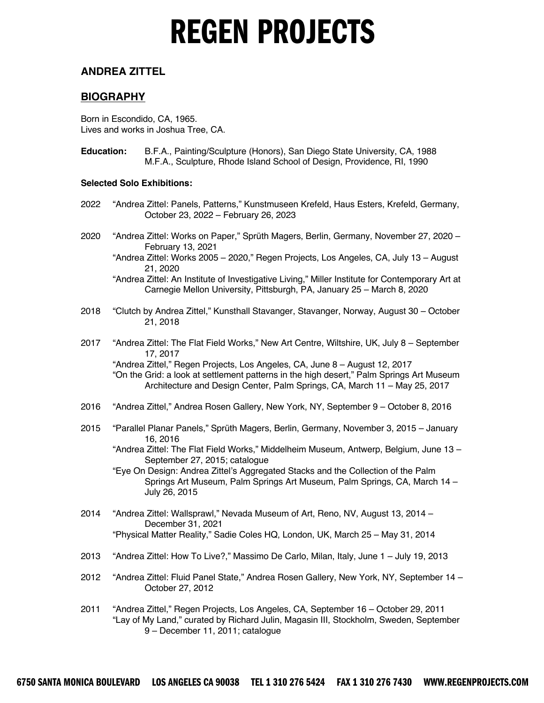#### **ANDREA ZITTEL**

#### **BIOGRAPHY**

Born in Escondido, CA, 1965. Lives and works in Joshua Tree, CA.

**Education:** B.F.A., Painting/Sculpture (Honors), San Diego State University, CA, 1988 M.F.A., Sculpture, Rhode Island School of Design, Providence, RI, 1990

#### **Selected Solo Exhibitions:**

- 2022 "Andrea Zittel: Panels, Patterns," Kunstmuseen Krefeld, Haus Esters, Krefeld, Germany, October 23, 2022 – February 26, 2023
- 2020 "Andrea Zittel: Works on Paper," Sprüth Magers, Berlin, Germany, November 27, 2020 February 13, 2021
	- "Andrea Zittel: Works 2005 2020," Regen Projects, Los Angeles, CA, July 13 August 21, 2020

"Andrea Zittel: An Institute of Investigative Living," Miller Institute for Contemporary Art at Carnegie Mellon University, Pittsburgh, PA, January 25 – March 8, 2020

- 2018 "Clutch by Andrea Zittel," Kunsthall Stavanger, Stavanger, Norway, August 30 October 21, 2018
- 2017 "Andrea Zittel: The Flat Field Works," New Art Centre, Wiltshire, UK, July 8 September 17, 2017

"Andrea Zittel," Regen Projects, Los Angeles, CA, June 8 – August 12, 2017 "On the Grid: a look at settlement patterns in the high desert," Palm Springs Art Museum Architecture and Design Center, Palm Springs, CA, March 11 – May 25, 2017

- 2016 "Andrea Zittel," Andrea Rosen Gallery, New York, NY, September 9 October 8, 2016
- 2015 "Parallel Planar Panels," Sprüth Magers, Berlin, Germany, November 3, 2015 January 16, 2016
	- "Andrea Zittel: The Flat Field Works," Middelheim Museum, Antwerp, Belgium, June 13 September 27, 2015; catalogue

"Eye On Design: Andrea Zittel's Aggregated Stacks and the Collection of the Palm Springs Art Museum, Palm Springs Art Museum, Palm Springs, CA, March 14 – July 26, 2015

- 2014 "Andrea Zittel: Wallsprawl," Nevada Museum of Art, Reno, NV, August 13, 2014 December 31, 2021 "Physical Matter Reality," Sadie Coles HQ, London, UK, March 25 – May 31, 2014
- 2013 "Andrea Zittel: How To Live?," Massimo De Carlo, Milan, Italy, June 1 July 19, 2013
- 2012 "Andrea Zittel: Fluid Panel State," Andrea Rosen Gallery, New York, NY, September 14 October 27, 2012
- 2011 "Andrea Zittel," Regen Projects, Los Angeles, CA, September 16 October 29, 2011 "Lay of My Land," curated by Richard Julin, Magasin III, Stockholm, Sweden, September 9 – December 11, 2011; catalogue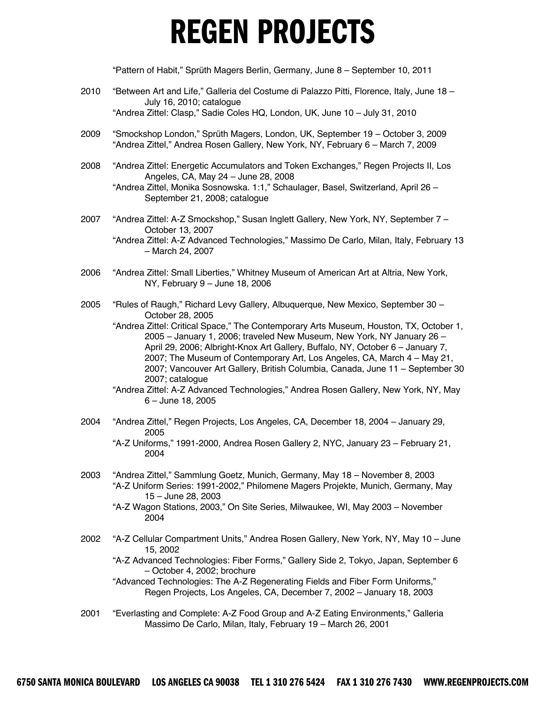"Pattern of Habit," Sprüth Magers Berlin, Germany, June 8 – September 10, 2011

- 2010 "Between Art and Life," Galleria del Costume di Palazzo Pitti, Florence, Italy, June 18 July 16, 2010; catalogue "Andrea Zittel: Clasp," Sadie Coles HQ, London, UK, June 10 – July 31, 2010
- 2009 "Smockshop London," Sprüth Magers, London, UK, September 19 October 3, 2009 "Andrea Zittel," Andrea Rosen Gallery, New York, NY, February 6 – March 7, 2009
- 2008 "Andrea Zittel: Energetic Accumulators and Token Exchanges," Regen Projects II, Los Angeles, CA, May 24 – June 28, 2008 "Andrea Zittel, Monika Sosnowska. 1:1," Schaulager, Basel, Switzerland, April 26 –

September 21, 2008; catalogue

- 2007 "Andrea Zittel: A-Z Smockshop," Susan Inglett Gallery, New York, NY, September 7 October 13, 2007 "Andrea Zittel: A-Z Advanced Technologies," Massimo De Carlo, Milan, Italy, February 13 – March 24, 2007
- 2006 "Andrea Zittel: Small Liberties," Whitney Museum of American Art at Altria, New York, NY, February 9 – June 18, 2006
- 2005 "Rules of Raugh," Richard Levy Gallery, Albuquerque, New Mexico, September 30 October 28, 2005
	- "Andrea Zittel: Critical Space," The Contemporary Arts Museum, Houston, TX, October 1, 2005 – January 1, 2006; traveled New Museum, New York, NY January 26 – April 29, 2006; Albright-Knox Art Gallery, Buffalo, NY, October 6 – January 7, 2007; The Museum of Contemporary Art, Los Angeles, CA, March 4 – May 21, 2007; Vancouver Art Gallery, British Columbia, Canada, June 11 – September 30 2007; catalogue
	- "Andrea Zittel: A-Z Advanced Technologies," Andrea Rosen Gallery, New York, NY, May 6 – June 18, 2005
- 2004 "Andrea Zittel," Regen Projects, Los Angeles, CA, December 18, 2004 January 29, 2005 "A-Z Uniforms," 1991-2000, Andrea Rosen Gallery 2, NYC, January 23 – February 21, 2004
- 2003 "Andrea Zittel," Sammlung Goetz, Munich, Germany, May 18 November 8, 2003 "A-Z Uniform Series: 1991-2002," Philomene Magers Projekte, Munich, Germany, May 15 – June 28, 2003
	- "A-Z Wagon Stations, 2003," On Site Series, Milwaukee, WI, May 2003 November 2004
- 2002 "A-Z Cellular Compartment Units," Andrea Rosen Gallery, New York, NY, May 10 June 15, 2002
	- "A-Z Advanced Technologies: Fiber Forms," Gallery Side 2, Tokyo, Japan, September 6 – October 4, 2002; brochure

"Advanced Technologies: The A-Z Regenerating Fields and Fiber Form Uniforms," Regen Projects, Los Angeles, CA, December 7, 2002 – January 18, 2003

2001 "Everlasting and Complete: A-Z Food Group and A-Z Eating Environments," Galleria Massimo De Carlo, Milan, Italy, February 19 – March 26, 2001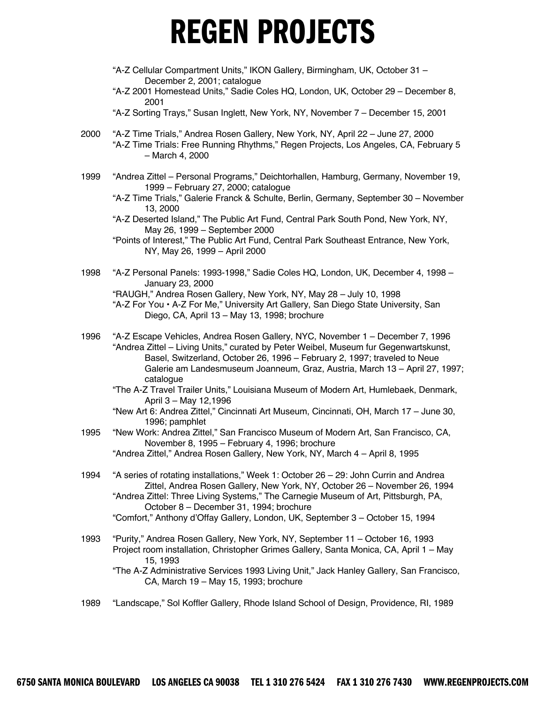- "A-Z Cellular Compartment Units," IKON Gallery, Birmingham, UK, October 31 December 2, 2001; catalogue
- "A-Z 2001 Homestead Units," Sadie Coles HQ, London, UK, October 29 December 8, 2001
- "A-Z Sorting Trays," Susan Inglett, New York, NY, November 7 December 15, 2001
- 2000 "A-Z Time Trials," Andrea Rosen Gallery, New York, NY, April 22 June 27, 2000 "A-Z Time Trials: Free Running Rhythms," Regen Projects, Los Angeles, CA, February 5 – March 4, 2000
- 1999 "Andrea Zittel Personal Programs," Deichtorhallen, Hamburg, Germany, November 19, 1999 – February 27, 2000; catalogue
	- "A-Z Time Trials," Galerie Franck & Schulte, Berlin, Germany, September 30 November 13, 2000

"A-Z Deserted Island," The Public Art Fund, Central Park South Pond, New York, NY, May 26, 1999 – September 2000

- "Points of Interest," The Public Art Fund, Central Park Southeast Entrance, New York, NY, May 26, 1999 – April 2000
- 1998 "A-Z Personal Panels: 1993-1998," Sadie Coles HQ, London, UK, December 4, 1998 January 23, 2000 "RAUGH," Andrea Rosen Gallery, New York, NY, May 28 – July 10, 1998

"A-Z For You • A-Z For Me," University Art Gallery, San Diego State University, San Diego, CA, April 13 – May 13, 1998; brochure

1996 "A-Z Escape Vehicles, Andrea Rosen Gallery, NYC, November 1 – December 7, 1996 "Andrea Zittel – Living Units," curated by Peter Weibel, Museum fur Gegenwartskunst, Basel, Switzerland, October 26, 1996 – February 2, 1997; traveled to Neue Galerie am Landesmuseum Joanneum, Graz, Austria, March 13 – April 27, 1997; catalogue

"The A-Z Travel Trailer Units," Louisiana Museum of Modern Art, Humlebaek, Denmark, April 3 – May 12,1996

- "New Art 6: Andrea Zittel," Cincinnati Art Museum, Cincinnati, OH, March 17 June 30, 1996; pamphlet
- 1995 "New Work: Andrea Zittel," San Francisco Museum of Modern Art, San Francisco, CA, November 8, 1995 – February 4, 1996; brochure

"Andrea Zittel," Andrea Rosen Gallery, New York, NY, March 4 – April 8, 1995

- 1994 "A series of rotating installations," Week 1: October 26 29: John Currin and Andrea Zittel, Andrea Rosen Gallery, New York, NY, October 26 – November 26, 1994 "Andrea Zittel: Three Living Systems," The Carnegie Museum of Art, Pittsburgh, PA, October 8 – December 31, 1994; brochure "Comfort," Anthony d'Offay Gallery, London, UK, September 3 – October 15, 1994
- 1993 "Purity," Andrea Rosen Gallery, New York, NY, September 11 October 16, 1993 Project room installation, Christopher Grimes Gallery, Santa Monica, CA, April 1 – May 15, 1993

"The A-Z Administrative Services 1993 Living Unit," Jack Hanley Gallery, San Francisco, CA, March 19 – May 15, 1993; brochure

1989 "Landscape," Sol Koffler Gallery, Rhode Island School of Design, Providence, RI, 1989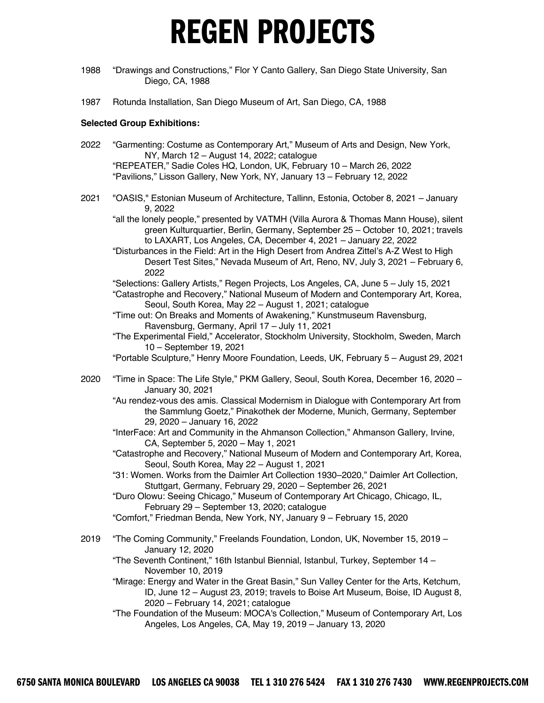- 1988 "Drawings and Constructions," Flor Y Canto Gallery, San Diego State University, San Diego, CA, 1988
- 1987 Rotunda Installation, San Diego Museum of Art, San Diego, CA, 1988

#### **Selected Group Exhibitions:**

- 2022 "Garmenting: Costume as Contemporary Art," Museum of Arts and Design, New York, NY, March 12 – August 14, 2022; catalogue "REPEATER," Sadie Coles HQ, London, UK, February 10 – March 26, 2022 "Pavilions," Lisson Gallery, New York, NY, January 13 – February 12, 2022
- 2021 "OASIS," Estonian Museum of Architecture, Tallinn, Estonia, October 8, 2021 January 9, 2022

"all the lonely people," presented by VATMH (Villa Aurora & Thomas Mann House), silent green Kulturquartier, Berlin, Germany, September 25 – October 10, 2021; travels to LAXART, Los Angeles, CA, December 4, 2021 – January 22, 2022

- "Disturbances in the Field: Art in the High Desert from Andrea Zittel's A-Z West to High Desert Test Sites," Nevada Museum of Art, Reno, NV, July 3, 2021 – February 6, 2022
- "Selections: Gallery Artists," Regen Projects, Los Angeles, CA, June 5 July 15, 2021
- "Catastrophe and Recovery," National Museum of Modern and Contemporary Art, Korea, Seoul, South Korea, May 22 – August 1, 2021; catalogue
- "Time out: On Breaks and Moments of Awakening," Kunstmuseum Ravensburg, Ravensburg, Germany, April 17 – July 11, 2021
- "The Experimental Field," Accelerator, Stockholm University, Stockholm, Sweden, March 10 – September 19, 2021
- "Portable Sculpture," Henry Moore Foundation, Leeds, UK, February 5 August 29, 2021
- 2020 "Time in Space: The Life Style," PKM Gallery, Seoul, South Korea, December 16, 2020 January 30, 2021
	- "Au rendez-vous des amis. Classical Modernism in Dialogue with Contemporary Art from the Sammlung Goetz," Pinakothek der Moderne, Munich, Germany, September 29, 2020 – January 16, 2022
	- "InterFace: Art and Community in the Ahmanson Collection," Ahmanson Gallery, Irvine, CA, September 5, 2020 – May 1, 2021
	- "Catastrophe and Recovery," National Museum of Modern and Contemporary Art, Korea, Seoul, South Korea, May 22 – August 1, 2021
	- "31: Women. Works from the Daimler Art Collection 1930–2020," Daimler Art Collection, Stuttgart, Germany, February 29, 2020 – September 26, 2021

"Duro Olowu: Seeing Chicago," Museum of Contemporary Art Chicago, Chicago, IL, February 29 – September 13, 2020; catalogue

- "Comfort," Friedman Benda, New York, NY, January 9 February 15, 2020
- 2019 "The Coming Community," Freelands Foundation, London, UK, November 15, 2019 January 12, 2020
	- "The Seventh Continent," 16th Istanbul Biennial, Istanbul, Turkey, September 14 November 10, 2019
	- "Mirage: Energy and Water in the Great Basin," Sun Valley Center for the Arts, Ketchum, ID, June 12 – August 23, 2019; travels to Boise Art Museum, Boise, ID August 8, 2020 – February 14, 2021; catalogue
	- "The Foundation of the Museum: MOCA's Collection," Museum of Contemporary Art, Los Angeles, Los Angeles, CA, May 19, 2019 – January 13, 2020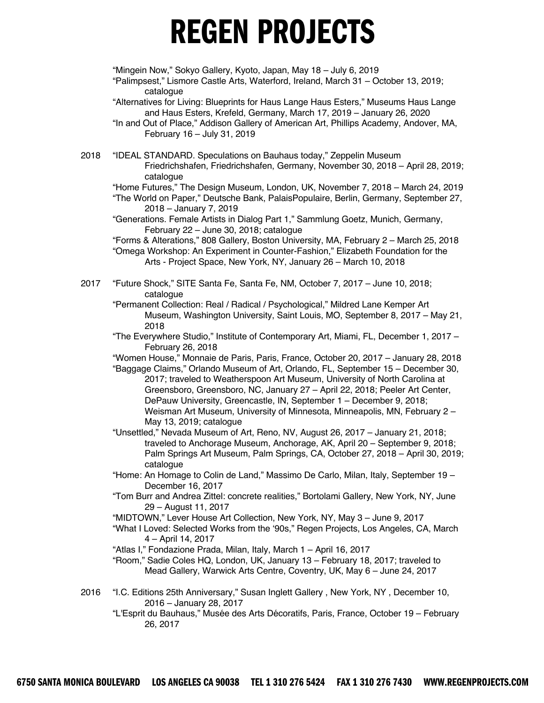"Mingein Now," Sokyo Gallery, Kyoto, Japan, May 18 – July 6, 2019 "Palimpsest," Lismore Castle Arts, Waterford, Ireland, March 31 – October 13, 2019; catalogue "Alternatives for Living: Blueprints for Haus Lange Haus Esters," Museums Haus Lange and Haus Esters, Krefeld, Germany, March 17, 2019 – January 26, 2020 "In and Out of Place," Addison Gallery of American Art, Phillips Academy, Andover, MA, February 16 – July 31, 2019 2018 "IDEAL STANDARD. Speculations on Bauhaus today," Zeppelin Museum Friedrichshafen, Friedrichshafen, Germany, November 30, 2018 – April 28, 2019; catalogue "Home Futures," The Design Museum, London, UK, November 7, 2018 – March 24, 2019 "The World on Paper," Deutsche Bank, PalaisPopulaire, Berlin, Germany, September 27, 2018 – January 7, 2019 "Generations. Female Artists in Dialog Part 1," Sammlung Goetz, Munich, Germany, February 22 – June 30, 2018; catalogue "Forms & Alterations," 808 Gallery, Boston University, MA, February 2 – March 25, 2018 "Omega Workshop: An Experiment in Counter-Fashion," Elizabeth Foundation for the Arts - Project Space, New York, NY, January 26 – March 10, 2018 2017 "Future Shock," SITE Santa Fe, Santa Fe, NM, October 7, 2017 – June 10, 2018; catalogue "Permanent Collection: Real / Radical / Psychological," Mildred Lane Kemper Art Museum, Washington University, Saint Louis, MO, September 8, 2017 – May 21, 2018 "The Everywhere Studio," Institute of Contemporary Art, Miami, FL, December 1, 2017 – February 26, 2018 "Women House," Monnaie de Paris, Paris, France, October 20, 2017 – January 28, 2018 "Baggage Claims," Orlando Museum of Art, Orlando, FL, September 15 – December 30, 2017; traveled to Weatherspoon Art Museum, University of North Carolina at Greensboro, Greensboro, NC, January 27 – April 22, 2018; Peeler Art Center, DePauw University, Greencastle, IN, September 1 – December 9, 2018; Weisman Art Museum, University of Minnesota, Minneapolis, MN, February 2 – May 13, 2019; catalogue "Unsettled," Nevada Museum of Art, Reno, NV, August 26, 2017 – January 21, 2018; traveled to Anchorage Museum, Anchorage, AK, April 20 – September 9, 2018; Palm Springs Art Museum, Palm Springs, CA, October 27, 2018 – April 30, 2019; catalogue "Home: An Homage to Colin de Land," Massimo De Carlo, Milan, Italy, September 19 – December 16, 2017 "Tom Burr and Andrea Zittel: concrete realities," Bortolami Gallery, New York, NY, June 29 – August 11, 2017 "MIDTOWN," Lever House Art Collection, New York, NY, May 3 – June 9, 2017 "What I Loved: Selected Works from the '90s," Regen Projects, Los Angeles, CA, March 4 – April 14, 2017 "Atlas I," Fondazione Prada, Milan, Italy, March 1 – April 16, 2017 "Room," Sadie Coles HQ, London, UK, January 13 – February 18, 2017; traveled to Mead Gallery, Warwick Arts Centre, Coventry, UK, May 6 – June 24, 2017 2016 "I.C. Editions 25th Anniversary," Susan Inglett Gallery , New York, NY , December 10, 2016 – January 28, 2017

"L'Esprit du Bauhaus," Musée des Arts Décoratifs, Paris, France, October 19 – February 26, 2017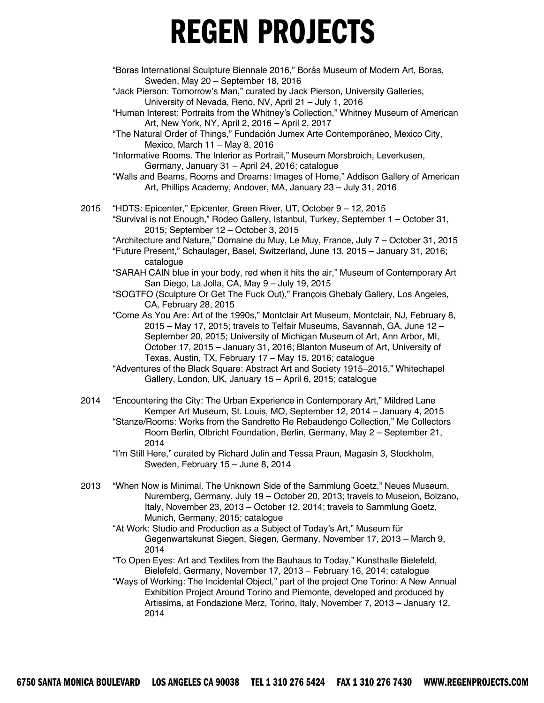"Boras International Sculpture Biennale 2016," Borås Museum of Modern Art, Boras, Sweden, May 20 – September 18, 2016

"Jack Pierson: Tomorrow's Man," curated by Jack Pierson, University Galleries, University of Nevada, Reno, NV, April 21 – July 1, 2016

"Human Interest: Portraits from the Whitney's Collection," Whitney Museum of American Art, New York, NY, April 2, 2016 – April 2, 2017

"The Natural Order of Things," Fundación Jumex Arte Contemporáneo, Mexico City, Mexico, March 11 – May 8, 2016

"Informative Rooms. The Interior as Portrait," Museum Morsbroich, Leverkusen, Germany, January 31 – April 24, 2016; catalogue

"Walls and Beams, Rooms and Dreams: Images of Home," Addison Gallery of American Art, Phillips Academy, Andover, MA, January 23 – July 31, 2016

2015 "HDTS: Epicenter," Epicenter, Green River, UT, October 9 – 12, 2015 "Survival is not Enough," Rodeo Gallery, Istanbul, Turkey, September 1 – October 31, 2015; September 12 – October 3, 2015

"Architecture and Nature," Domaine du Muy, Le Muy, France, July 7 – October 31, 2015

- "Future Present," Schaulager, Basel, Switzerland, June 13, 2015 January 31, 2016; catalogue
- "SARAH CAIN blue in your body, red when it hits the air," Museum of Contemporary Art San Diego, La Jolla, CA, May 9 – July 19, 2015

"SOGTFO (Sculpture Or Get The Fuck Out)," Francois Ghebaly Gallery, Los Angeles, CA, February 28, 2015

"Come As You Are: Art of the 1990s," Montclair Art Museum, Montclair, NJ, February 8, 2015 – May 17, 2015; travels to Telfair Museums, Savannah, GA, June 12 – September 20, 2015; University of Michigan Museum of Art, Ann Arbor, MI, October 17, 2015 – January 31, 2016; Blanton Museum of Art, University of Texas, Austin, TX, February 17 – May 15, 2016; catalogue

"Adventures of the Black Square: Abstract Art and Society 1915–2015," Whitechapel Gallery, London, UK, January 15 – April 6, 2015; catalogue

2014 "Encountering the City: The Urban Experience in Contemporary Art," Mildred Lane Kemper Art Museum, St. Louis, MO, September 12, 2014 – January 4, 2015 "Stanze/Rooms: Works from the Sandretto Re Rebaudengo Collection," Me Collectors Room Berlin, Olbricht Foundation, Berlin, Germany, May 2 – September 21, 2014

"I'm Still Here," curated by Richard Julin and Tessa Praun, Magasin 3, Stockholm, Sweden, February 15 – June 8, 2014

2013 "When Now is Minimal. The Unknown Side of the Sammlung Goetz," Neues Museum, Nuremberg, Germany, July 19 – October 20, 2013; travels to Museion, Bolzano, Italy, November 23, 2013 – October 12, 2014; travels to Sammlung Goetz, Munich, Germany, 2015; catalogue

"At Work: Studio and Production as a Subject of Today's Art," Museum für Gegenwartskunst Siegen, Siegen, Germany, November 17, 2013 – March 9, 2014

"To Open Eyes: Art and Textiles from the Bauhaus to Today," Kunsthalle Bielefeld, Bielefeld, Germany, November 17, 2013 – February 16, 2014; catalogue

"Ways of Working: The Incidental Object," part of the project One Torino: A New Annual Exhibition Project Around Torino and Piemonte, developed and produced by Artissima, at Fondazione Merz, Torino, Italy, November 7, 2013 – January 12, 2014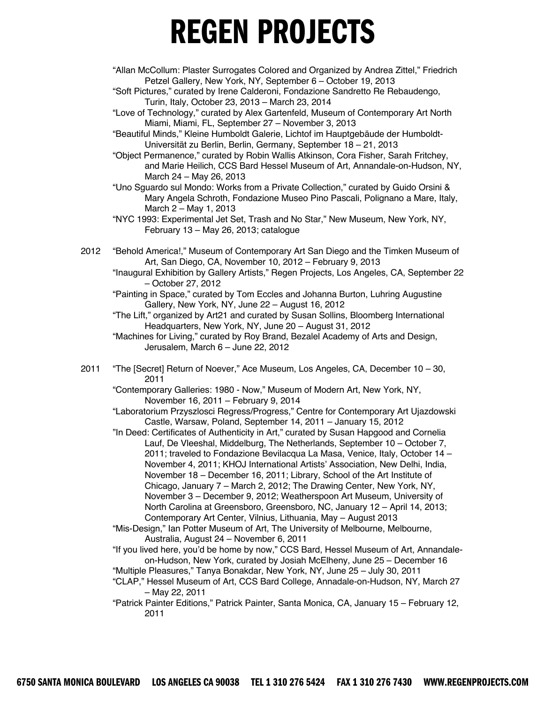- "Allan McCollum: Plaster Surrogates Colored and Organized by Andrea Zittel," Friedrich Petzel Gallery, New York, NY, September 6 – October 19, 2013
- "Soft Pictures," curated by Irene Calderoni, Fondazione Sandretto Re Rebaudengo, Turin, Italy, October 23, 2013 – March 23, 2014
- "Love of Technology," curated by Alex Gartenfeld, Museum of Contemporary Art North Miami, Miami, FL, September 27 – November 3, 2013
- "Beautiful Minds," Kleine Humboldt Galerie, Lichtof im Hauptgebäude der Humboldt-Universität zu Berlin, Berlin, Germany, September 18 – 21, 2013
- "Object Permanence," curated by Robin Wallis Atkinson, Cora Fisher, Sarah Fritchey, and Marie Heilich, CCS Bard Hessel Museum of Art, Annandale-on-Hudson, NY, March 24 – May 26, 2013
- "Uno Sguardo sul Mondo: Works from a Private Collection," curated by Guido Orsini & Mary Angela Schroth, Fondazione Museo Pino Pascali, Polignano a Mare, Italy, March 2 – May 1, 2013
- "NYC 1993: Experimental Jet Set, Trash and No Star," New Museum, New York, NY, February 13 – May 26, 2013; catalogue
- 2012 "Behold America!," Museum of Contemporary Art San Diego and the Timken Museum of Art, San Diego, CA, November 10, 2012 – February 9, 2013
	- "Inaugural Exhibition by Gallery Artists," Regen Projects, Los Angeles, CA, September 22 – October 27, 2012
	- "Painting in Space," curated by Tom Eccles and Johanna Burton, Luhring Augustine Gallery, New York, NY, June 22 – August 16, 2012
	- "The Lift," organized by Art21 and curated by Susan Sollins, Bloomberg International Headquarters, New York, NY, June 20 – August 31, 2012
	- "Machines for Living," curated by Roy Brand, Bezalel Academy of Arts and Design, Jerusalem, March 6 – June 22, 2012
- 2011 "The [Secret] Return of Noever," Ace Museum, Los Angeles, CA, December 10 30, 2011
	- "Contemporary Galleries: 1980 Now," Museum of Modern Art, New York, NY, November 16, 2011 – February 9, 2014
	- "Laboratorium Przyszlosci Regress/Progress," Centre for Contemporary Art Ujazdowski Castle, Warsaw, Poland, September 14, 2011 – January 15, 2012
	- "In Deed: Certificates of Authenticity in Art," curated by Susan Hapgood and Cornelia Lauf, De Vleeshal, Middelburg, The Netherlands, September 10 – October 7, 2011; traveled to Fondazione Bevilacqua La Masa, Venice, Italy, October 14 – November 4, 2011; KHOJ International Artists' Association, New Delhi, India, November 18 – December 16, 2011; Library, School of the Art Institute of Chicago, January 7 – March 2, 2012; The Drawing Center, New York, NY, November 3 – December 9, 2012; Weatherspoon Art Museum, University of North Carolina at Greensboro, Greensboro, NC, January 12 – April 14, 2013; Contemporary Art Center, Vilnius, Lithuania, May – August 2013
	- "Mis-Design," Ian Potter Museum of Art, The University of Melbourne, Melbourne, Australia, August 24 – November 6, 2011
	- "If you lived here, you'd be home by now," CCS Bard, Hessel Museum of Art, Annandaleon-Hudson, New York, curated by Josiah McElheny, June 25 – December 16
	- "Multiple Pleasures," Tanya Bonakdar, New York, NY, June 25 July 30, 2011
	- "CLAP," Hessel Museum of Art, CCS Bard College, Annadale-on-Hudson, NY, March 27 – May 22, 2011
	- "Patrick Painter Editions," Patrick Painter, Santa Monica, CA, January 15 February 12, 2011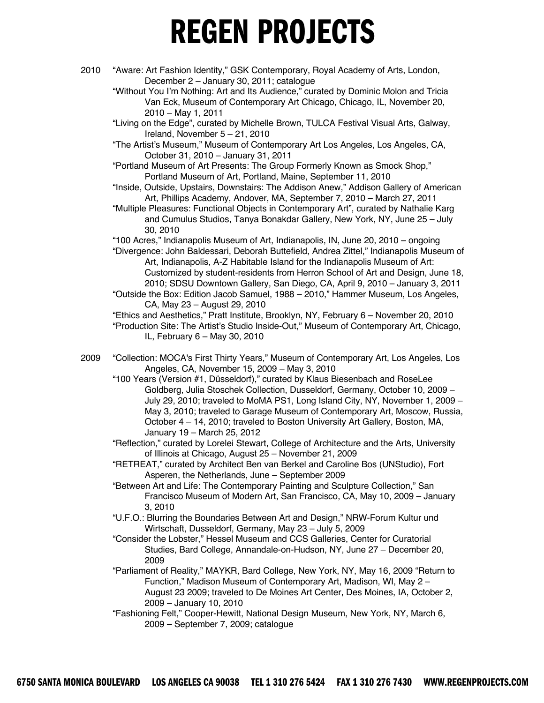- 2010 "Aware: Art Fashion Identity," GSK Contemporary, Royal Academy of Arts, London, December 2 – January 30, 2011; catalogue
	- "Without You I'm Nothing: Art and Its Audience," curated by Dominic Molon and Tricia Van Eck, Museum of Contemporary Art Chicago, Chicago, IL, November 20, 2010 – May 1, 2011
	- "Living on the Edge", curated by Michelle Brown, TULCA Festival Visual Arts, Galway, Ireland, November 5 – 21, 2010
	- "The Artist's Museum," Museum of Contemporary Art Los Angeles, Los Angeles, CA, October 31, 2010 – January 31, 2011
	- "Portland Museum of Art Presents: The Group Formerly Known as Smock Shop," Portland Museum of Art, Portland, Maine, September 11, 2010
	- "Inside, Outside, Upstairs, Downstairs: The Addison Anew," Addison Gallery of American Art, Phillips Academy, Andover, MA, September 7, 2010 – March 27, 2011
	- "Multiple Pleasures: Functional Objects in Contemporary Art", curated by Nathalie Karg and Cumulus Studios, Tanya Bonakdar Gallery, New York, NY, June 25 – July 30, 2010
	- "100 Acres," Indianapolis Museum of Art, Indianapolis, IN, June 20, 2010 ongoing
	- "Divergence: John Baldessari, Deborah Buttefield, Andrea Zittel," Indianapolis Museum of Art, Indianapolis, A-Z Habitable Island for the Indianapolis Museum of Art: Customized by student-residents from Herron School of Art and Design, June 18, 2010; SDSU Downtown Gallery, San Diego, CA, April 9, 2010 – January 3, 2011
	- "Outside the Box: Edition Jacob Samuel, 1988 2010," Hammer Museum, Los Angeles, CA, May 23 – August 29, 2010
	- "Ethics and Aesthetics," Pratt Institute, Brooklyn, NY, February 6 November 20, 2010 "Production Site: The Artist's Studio Inside-Out," Museum of Contemporary Art, Chicago, IL, February 6 – May 30, 2010
- 2009 "Collection: MOCA's First Thirty Years," Museum of Contemporary Art, Los Angeles, Los Angeles, CA, November 15, 2009 – May 3, 2010
	- "100 Years (Version #1, Düsseldorf)," curated by Klaus Biesenbach and RoseLee Goldberg, Julia Stoschek Collection, Dusseldorf, Germany, October 10, 2009 – July 29, 2010; traveled to MoMA PS1, Long Island City, NY, November 1, 2009 – May 3, 2010; traveled to Garage Museum of Contemporary Art, Moscow, Russia, October 4 – 14, 2010; traveled to Boston University Art Gallery, Boston, MA, January 19 – March 25, 2012
	- "Reflection," curated by Lorelei Stewart, College of Architecture and the Arts, University of Illinois at Chicago, August 25 – November 21, 2009
	- "RETREAT," curated by Architect Ben van Berkel and Caroline Bos (UNStudio), Fort Asperen, the Netherlands, June – September 2009
	- "Between Art and Life: The Contemporary Painting and Sculpture Collection," San Francisco Museum of Modern Art, San Francisco, CA, May 10, 2009 – January 3, 2010
	- "U.F.O.: Blurring the Boundaries Between Art and Design," NRW-Forum Kultur und Wirtschaft, Dusseldorf, Germany, May 23 – July 5, 2009
	- "Consider the Lobster," Hessel Museum and CCS Galleries, Center for Curatorial Studies, Bard College, Annandale-on-Hudson, NY, June 27 – December 20, 2009
	- "Parliament of Reality," MAYKR, Bard College, New York, NY, May 16, 2009 "Return to Function," Madison Museum of Contemporary Art, Madison, WI, May 2 – August 23 2009; traveled to De Moines Art Center, Des Moines, IA, October 2, 2009 – January 10, 2010
	- "Fashioning Felt," Cooper-Hewitt, National Design Museum, New York, NY, March 6, 2009 – September 7, 2009; catalogue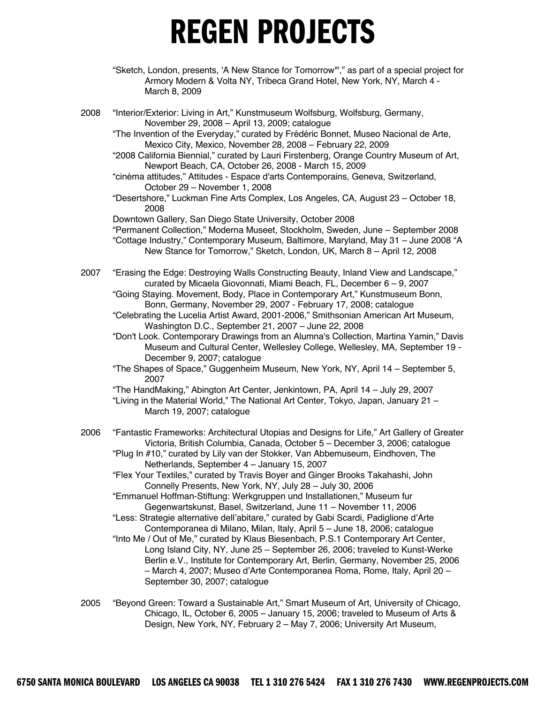- "Sketch, London, presents, 'A New Stance for Tomorrow'"," as part of a special project for Armory Modern & Volta NY, Tribeca Grand Hotel, New York, NY, March 4 - March 8, 2009
- 2008 "Interior/Exterior: Living in Art," Kunstmuseum Wolfsburg, Wolfsburg, Germany, November 29, 2008 – April 13, 2009; catalogue
	- "The Invention of the Everyday," curated by Frédéric Bonnet, Museo Nacional de Arte, Mexico City, Mexico, November 28, 2008 – February 22, 2009
	- "2008 California Biennial," curated by Lauri Firstenberg, Orange Country Museum of Art, Newport Beach, CA, October 26, 2008 - March 15, 2009
	- "cinéma attitudes," Attitudes Espace d'arts Contemporains, Geneva, Switzerland, October 29 – November 1, 2008
	- "Desertshore," Luckman Fine Arts Complex, Los Angeles, CA, August 23 October 18, 2008
	- Downtown Gallery, San Diego State University, October 2008
	- "Permanent Collection," Moderna Museet, Stockholm, Sweden, June September 2008 "Cottage Industry," Contemporary Museum, Baltimore, Maryland, May 31 – June 2008 "A New Stance for Tomorrow," Sketch, London, UK, March 8 – April 12, 2008
- 2007 "Erasing the Edge: Destroying Walls Constructing Beauty, Inland View and Landscape," curated by Micaela Giovonnati, Miami Beach, FL, December 6 – 9, 2007
	- "Going Staying. Movement, Body, Place in Contemporary Art," Kunstmuseum Bonn, Bonn, Germany, November 29, 2007 - February 17, 2008; catalogue
	- "Celebrating the Lucelia Artist Award, 2001-2006," Smithsonian American Art Museum, Washington D.C., September 21, 2007 – June 22, 2008
	- "Don't Look. Contemporary Drawings from an Alumna's Collection, Martina Yamin," Davis Museum and Cultural Center, Wellesley College, Wellesley, MA, September 19 - December 9, 2007; catalogue
	- "The Shapes of Space," Guggenheim Museum, New York, NY, April 14 September 5, 2007

"The HandMaking," Abington Art Center, Jenkintown, PA, April 14 – July 29, 2007 "Living in the Material World," The National Art Center, Tokyo, Japan, January 21 – March 19, 2007; catalogue

- 2006 "Fantastic Frameworks: Architectural Utopias and Designs for Life," Art Gallery of Greater Victoria, British Columbia, Canada, October 5 – December 3, 2006; catalogue "Plug In #10," curated by Lily van der Stokker, Van Abbemuseum, Eindhoven, The
	- Netherlands, September 4 January 15, 2007
	- "Flex Your Textiles," curated by Travis Boyer and Ginger Brooks Takahashi, John Connelly Presents, New York, NY, July 28 – July 30, 2006
	- "Emmanuel Hoffman-Stiftung: Werkgruppen und Installationen," Museum fur Gegenwartskunst, Basel, Switzerland, June 11 – November 11, 2006
	- "Less: Strategie alternative dell'abitare," curated by Gabi Scardi, Padiglione d'Arte Contemporanea di Milano, Milan, Italy, April 5 – June 18, 2006; catalogue
	- "Into Me / Out of Me," curated by Klaus Biesenbach, P.S.1 Contemporary Art Center, Long Island City, NY, June 25 – September 26, 2006; traveled to Kunst-Werke Berlin e.V., Institute for Contemporary Art, Berlin, Germany, November 25, 2006 – March 4, 2007; Museo d'Arte Contemporanea Roma, Rome, Italy, April 20 – September 30, 2007; catalogue
- 2005 "Beyond Green: Toward a Sustainable Art," Smart Museum of Art, University of Chicago, Chicago, IL, October 6, 2005 – January 15, 2006; traveled to Museum of Arts & Design, New York, NY, February 2 – May 7, 2006; University Art Museum,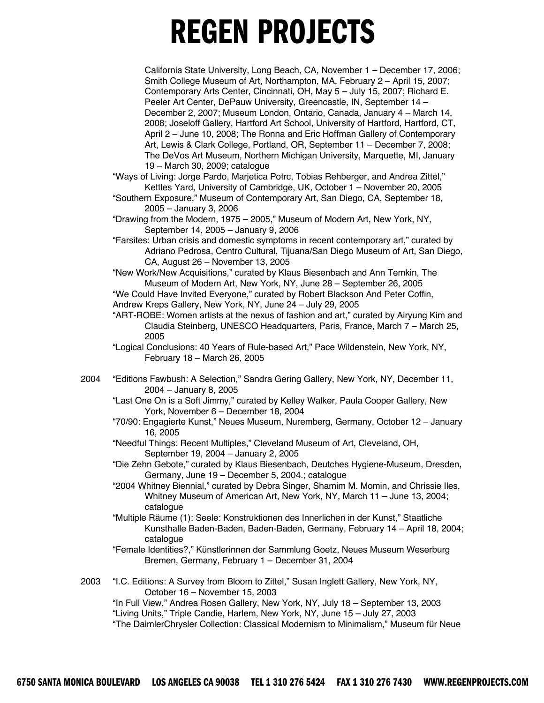California State University, Long Beach, CA, November 1 – December 17, 2006; Smith College Museum of Art, Northampton, MA, February 2 – April 15, 2007; Contemporary Arts Center, Cincinnati, OH, May 5 – July 15, 2007; Richard E. Peeler Art Center, DePauw University, Greencastle, IN, September 14 – December 2, 2007; Museum London, Ontario, Canada, January 4 – March 14, 2008; Joseloff Gallery, Hartford Art School, University of Hartford, Hartford, CT, April 2 – June 10, 2008; The Ronna and Eric Hoffman Gallery of Contemporary Art, Lewis & Clark College, Portland, OR, September 11 – December 7, 2008; The DeVos Art Museum, Northern Michigan University, Marquette, MI, January 19 – March 30, 2009; catalogue

"Ways of Living: Jorge Pardo, Marjetica Potrc, Tobias Rehberger, and Andrea Zittel," Kettles Yard, University of Cambridge, UK, October 1 – November 20, 2005

"Southern Exposure," Museum of Contemporary Art, San Diego, CA, September 18, 2005 – January 3, 2006

"Drawing from the Modern, 1975 – 2005," Museum of Modern Art, New York, NY, September 14, 2005 – January 9, 2006

"Farsites: Urban crisis and domestic symptoms in recent contemporary art," curated by Adriano Pedrosa, Centro Cultural, Tijuana/San Diego Museum of Art, San Diego, CA, August 26 – November 13, 2005

"New Work/New Acquisitions," curated by Klaus Biesenbach and Ann Temkin, The Museum of Modern Art, New York, NY, June 28 – September 26, 2005

"We Could Have Invited Everyone," curated by Robert Blackson And Peter Coffin, Andrew Kreps Gallery, New York, NY, June 24 – July 29, 2005

"ART-ROBE: Women artists at the nexus of fashion and art," curated by Airyung Kim and Claudia Steinberg, UNESCO Headquarters, Paris, France, March 7 – March 25, 2005

"Logical Conclusions: 40 Years of Rule-based Art," Pace Wildenstein, New York, NY, February 18 – March 26, 2005

2004 "Editions Fawbush: A Selection," Sandra Gering Gallery, New York, NY, December 11, 2004 – January 8, 2005

"Last One On is a Soft Jimmy," curated by Kelley Walker, Paula Cooper Gallery, New York, November 6 – December 18, 2004

- "70/90: Engagierte Kunst," Neues Museum, Nuremberg, Germany, October 12 January 16, 2005
- "Needful Things: Recent Multiples," Cleveland Museum of Art, Cleveland, OH, September 19, 2004 – January 2, 2005
- "Die Zehn Gebote," curated by Klaus Biesenbach, Deutches Hygiene-Museum, Dresden, Germany, June 19 – December 5, 2004.; catalogue
- "2004 Whitney Biennial," curated by Debra Singer, Shamim M. Momin, and Chrissie Iles, Whitney Museum of American Art, New York, NY, March 11 – June 13, 2004; catalogue
- "Multiple Räume (1): Seele: Konstruktionen des Innerlichen in der Kunst," Staatliche Kunsthalle Baden-Baden, Baden-Baden, Germany, February 14 – April 18, 2004; catalogue
- "Female Identities?," Künstlerinnen der Sammlung Goetz, Neues Museum Weserburg Bremen, Germany, February 1 – December 31, 2004

2003 "I.C. Editions: A Survey from Bloom to Zittel," Susan Inglett Gallery, New York, NY, October 16 – November 15, 2003

"In Full View," Andrea Rosen Gallery, New York, NY, July 18 – September 13, 2003 "Living Units," Triple Candie, Harlem, New York, NY, June 15 – July 27, 2003 "The DaimlerChrysler Collection: Classical Modernism to Minimalism," Museum für Neue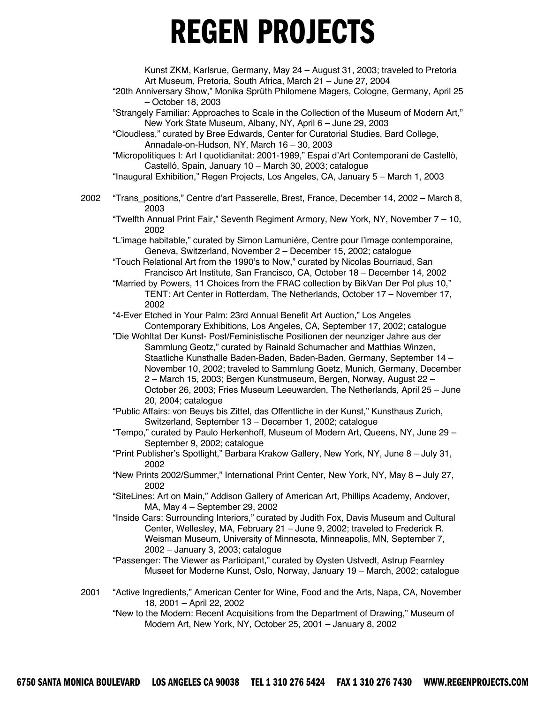Kunst ZKM, Karlsrue, Germany, May 24 – August 31, 2003; traveled to Pretoria Art Museum, Pretoria, South Africa, March 21 – June 27, 2004

"20th Anniversary Show," Monika Sprüth Philomene Magers, Cologne, Germany, April 25 – October 18, 2003

"Strangely Familiar: Approaches to Scale in the Collection of the Museum of Modern Art," New York State Museum, Albany, NY, April 6 – June 29, 2003

"Cloudless," curated by Bree Edwards, Center for Curatorial Studies, Bard College, Annadale-on-Hudson, NY, March 16 – 30, 2003

"Micropolítiques I: Art I quotidianitat: 2001-1989," Espai d'Art Contemporani de Castelló, Castelló, Spain, January 10 – March 30, 2003; catalogue

"Inaugural Exhibition," Regen Projects, Los Angeles, CA, January 5 – March 1, 2003

2002 "Trans\_positions," Centre d'art Passerelle, Brest, France, December 14, 2002 – March 8, 2003

"Twelfth Annual Print Fair," Seventh Regiment Armory, New York, NY, November 7 – 10, 2002

"L'image habitable," curated by Simon Lamunière, Centre pour l'image contemporaine, Geneva, Switzerland, November 2 – December 15, 2002; catalogue

"Touch Relational Art from the 1990's to Now," curated by Nicolas Bourriaud, San Francisco Art Institute, San Francisco, CA, October 18 – December 14, 2002

"Married by Powers, 11 Choices from the FRAC collection by BikVan Der Pol plus 10," TENT: Art Center in Rotterdam, The Netherlands, October 17 – November 17, 2002

"4-Ever Etched in Your Palm: 23rd Annual Benefit Art Auction," Los Angeles Contemporary Exhibitions, Los Angeles, CA, September 17, 2002; catalogue

"Die Wohltat Der Kunst- Post/Feministische Positionen der neunziger Jahre aus der Sammlung Geotz," curated by Rainald Schumacher and Matthias Winzen, Staatliche Kunsthalle Baden-Baden, Baden-Baden, Germany, September 14 – November 10, 2002; traveled to Sammlung Goetz, Munich, Germany, December 2 – March 15, 2003; Bergen Kunstmuseum, Bergen, Norway, August 22 – October 26, 2003; Fries Museum Leeuwarden, The Netherlands, April 25 – June 20, 2004; catalogue

"Public Affairs: von Beuys bis Zittel, das Offentliche in der Kunst," Kunsthaus Zurich, ̈ Switzerland, September 13 – December 1, 2002; catalogue

"Tempo," curated by Paulo Herkenhoff, Museum of Modern Art, Queens, NY, June 29 – September 9, 2002; catalogue

- "Print Publisher's Spotlight," Barbara Krakow Gallery, New York, NY, June 8 July 31, 2002
- "New Prints 2002/Summer," International Print Center, New York, NY, May 8 July 27, 2002

"SiteLines: Art on Main," Addison Gallery of American Art, Phillips Academy, Andover, MA, May 4 – September 29, 2002

"Inside Cars: Surrounding Interiors," curated by Judith Fox, Davis Museum and Cultural Center, Wellesley, MA, February 21 – June 9, 2002; traveled to Frederick R. Weisman Museum, University of Minnesota, Minneapolis, MN, September 7, 2002 – January 3, 2003; catalogue

"Passenger: The Viewer as Participant," curated by Øysten Ustvedt, Astrup Fearnley Museet for Moderne Kunst, Oslo, Norway, January 19 – March, 2002; catalogue

2001 "Active Ingredients," American Center for Wine, Food and the Arts, Napa, CA, November 18, 2001 – April 22, 2002

"New to the Modern: Recent Acquisitions from the Department of Drawing," Museum of Modern Art, New York, NY, October 25, 2001 – January 8, 2002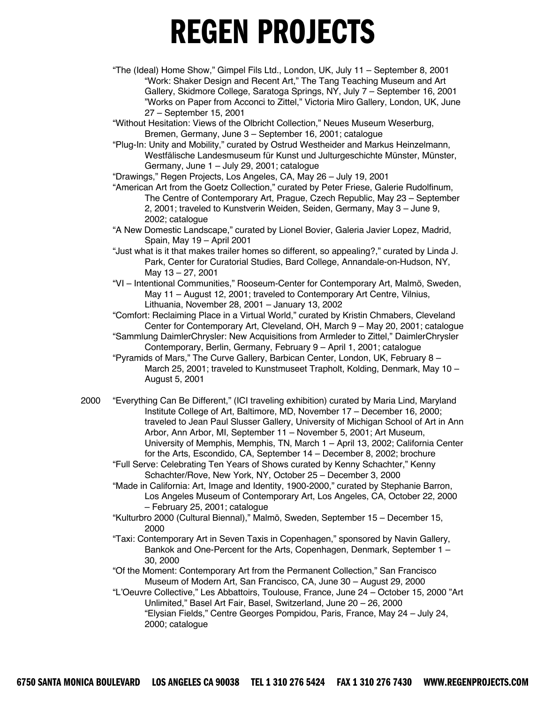"The (Ideal) Home Show," Gimpel Fils Ltd., London, UK, July 11 – September 8, 2001 "Work: Shaker Design and Recent Art," The Tang Teaching Museum and Art Gallery, Skidmore College, Saratoga Springs, NY, July 7 – September 16, 2001 "Works on Paper from Acconci to Zittel," Victoria Miro Gallery, London, UK, June 27 – September 15, 2001

"Without Hesitation: Views of the Olbricht Collection," Neues Museum Weserburg, Bremen, Germany, June 3 – September 16, 2001; catalogue

"Plug-In: Unity and Mobility," curated by Ostrud Westheider and Markus Heinzelmann, Westfälische Landesmuseum für Kunst und Julturgeschichte Münster, Münster, Germany, June 1 – July 29, 2001; catalogue

"Drawings," Regen Projects, Los Angeles, CA, May 26 – July 19, 2001

- "American Art from the Goetz Collection," curated by Peter Friese, Galerie Rudolfinum, The Centre of Contemporary Art, Prague, Czech Republic, May 23 – September 2, 2001; traveled to Kunstverin Weiden, Seiden, Germany, May 3 – June 9, 2002; catalogue
- "A New Domestic Landscape," curated by Lionel Bovier, Galeria Javier Lopez, Madrid, Spain, May 19 – April 2001
- "Just what is it that makes trailer homes so different, so appealing?," curated by Linda J. Park, Center for Curatorial Studies, Bard College, Annandale-on-Hudson, NY, May 13 – 27, 2001
- "VI Intentional Communities," Rooseum-Center for Contemporary Art, Malmö, Sweden, May 11 – August 12, 2001; traveled to Contemporary Art Centre, Vilnius, Lithuania, November 28, 2001 – January 13, 2002

"Comfort: Reclaiming Place in a Virtual World," curated by Kristin Chmabers, Cleveland Center for Contemporary Art, Cleveland, OH, March 9 – May 20, 2001; catalogue

- "Sammlung DaimlerChrysler: New Acquisitions from Armleder to Zittel," DaimlerChrysler Contemporary, Berlin, Germany, February 9 – April 1, 2001; catalogue
- "Pyramids of Mars," The Curve Gallery, Barbican Center, London, UK, February 8 March 25, 2001; traveled to Kunstmuseet Trapholt, Kolding, Denmark, May 10 – August 5, 2001
- 2000 "Everything Can Be Different," (ICI traveling exhibition) curated by Maria Lind, Maryland Institute College of Art, Baltimore, MD, November 17 – December 16, 2000; traveled to Jean Paul Slusser Gallery, University of Michigan School of Art in Ann Arbor, Ann Arbor, MI, September 11 – November 5, 2001; Art Museum, University of Memphis, Memphis, TN, March 1 – April 13, 2002; California Center for the Arts, Escondido, CA, September 14 – December 8, 2002; brochure

"Full Serve: Celebrating Ten Years of Shows curated by Kenny Schachter," Kenny Schachter/Rove, New York, NY, October 25 – December 3, 2000

"Made in California: Art, Image and Identity, 1900-2000," curated by Stephanie Barron, Los Angeles Museum of Contemporary Art, Los Angeles, CA, October 22, 2000 – February 25, 2001; catalogue

"Kulturbro 2000 (Cultural Biennal)," Malmö, Sweden, September 15 – December 15, 2000

- "Taxi: Contemporary Art in Seven Taxis in Copenhagen," sponsored by Navin Gallery, Bankok and One-Percent for the Arts, Copenhagen, Denmark, September 1 – 30, 2000
- "Of the Moment: Contemporary Art from the Permanent Collection," San Francisco Museum of Modern Art, San Francisco, CA, June 30 – August 29, 2000
- "L'Oeuvre Collective," Les Abbattoirs, Toulouse, France, June 24 October 15, 2000 "Art Unlimited," Basel Art Fair, Basel, Switzerland, June 20 – 26, 2000 "Elysian Fields," Centre Georges Pompidou, Paris, France, May 24 – July 24, 2000; catalogue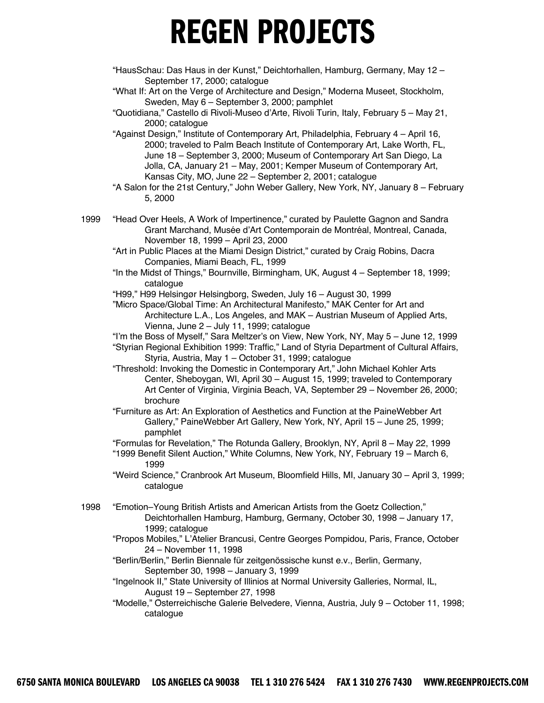"HausSchau: Das Haus in der Kunst," Deichtorhallen, Hamburg, Germany, May 12 – September 17, 2000; catalogue

"What If: Art on the Verge of Architecture and Design," Moderna Museet, Stockholm, Sweden, May 6 – September 3, 2000; pamphlet

"Quotidiana," Castello di Rivoli-Museo d'Arte, Rivoli Turin, Italy, February 5 – May 21, 2000; catalogue

"Against Design," Institute of Contemporary Art, Philadelphia, February 4 – April 16, 2000; traveled to Palm Beach Institute of Contemporary Art, Lake Worth, FL, June 18 – September 3, 2000; Museum of Contemporary Art San Diego, La Jolla, CA, January 21 – May, 2001; Kemper Museum of Contemporary Art, Kansas City, MO, June 22 – September 2, 2001; catalogue

- "A Salon for the 21st Century," John Weber Gallery, New York, NY, January 8 February 5, 2000
- 1999 "Head Over Heels, A Work of Impertinence," curated by Paulette Gagnon and Sandra Grant Marchand, Musée d'Art Contemporain de Montréal, Montreal, Canada, November 18, 1999 – April 23, 2000
	- "Art in Public Places at the Miami Design District," curated by Craig Robins, Dacra Companies, Miami Beach, FL, 1999
	- "In the Midst of Things," Bournville, Birmingham, UK, August 4 September 18, 1999; catalogue
	- "H99," H99 Helsingør Helsingborg, Sweden, July 16 August 30, 1999
	- "Micro Space/Global Time: An Architectural Manifesto," MAK Center for Art and Architecture L.A., Los Angeles, and MAK – Austrian Museum of Applied Arts, Vienna, June 2 – July 11, 1999; catalogue
	- "I'm the Boss of Myself," Sara Meltzer's on View, New York, NY, May 5 June 12, 1999
	- "Styrian Regional Exhibition 1999: Traffic," Land of Styria Department of Cultural Affairs, Styria, Austria, May 1 – October 31, 1999; catalogue
	- "Threshold: Invoking the Domestic in Contemporary Art," John Michael Kohler Arts Center, Sheboygan, WI, April 30 – August 15, 1999; traveled to Contemporary Art Center of Virginia, Virginia Beach, VA, September 29 – November 26, 2000; brochure
	- "Furniture as Art: An Exploration of Aesthetics and Function at the PaineWebber Art Gallery," PaineWebber Art Gallery, New York, NY, April 15 – June 25, 1999; pamphlet
	- "Formulas for Revelation," The Rotunda Gallery, Brooklyn, NY, April 8 May 22, 1999 "1999 Benefit Silent Auction," White Columns, New York, NY, February 19 – March 6, 1999
	- "Weird Science," Cranbrook Art Museum, Bloomfield Hills, MI, January 30 April 3, 1999; catalogue
- 1998 "Emotion–Young British Artists and American Artists from the Goetz Collection," Deichtorhallen Hamburg, Hamburg, Germany, October 30, 1998 – January 17, 1999; catalogue
	- "Propos Mobiles," L'Atelier Brancusi, Centre Georges Pompidou, Paris, France, October 24 – November 11, 1998
	- "Berlin/Berlin," Berlin Biennale für zeitgenössische kunst e.v., Berlin, Germany, September 30, 1998 – January 3, 1999
	- "Ingelnook II," State University of Illinios at Normal University Galleries, Normal, IL, August 19 – September 27, 1998
	- "Modelle," Osterreichische Galerie Belvedere, Vienna, Austria, July 9 ̈ October 11, 1998; catalogue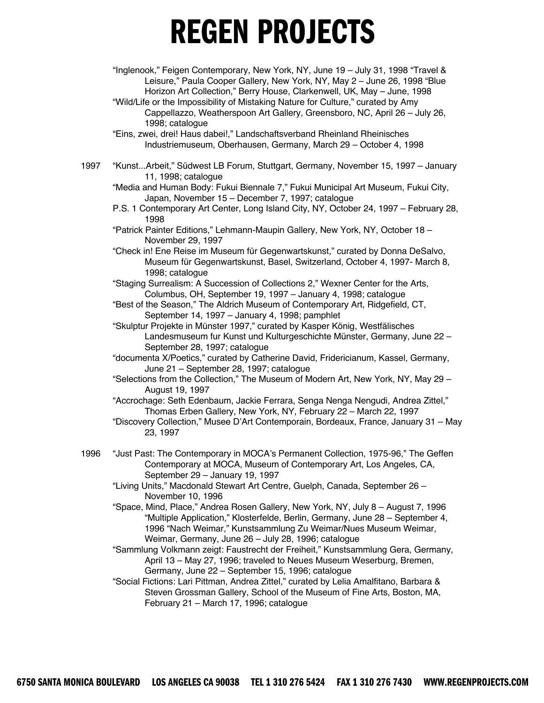- "Inglenook," Feigen Contemporary, New York, NY, June 19 July 31, 1998 "Travel & Leisure," Paula Cooper Gallery, New York, NY, May 2 – June 26, 1998 "Blue Horizon Art Collection," Berry House, Clarkenwell, UK, May – June, 1998
- "Wild/Life or the Impossibility of Mistaking Nature for Culture," curated by Amy Cappellazzo, Weatherspoon Art Gallery, Greensboro, NC, April 26 – July 26, 1998; catalogue
- "Eins, zwei, drei! Haus dabei!," Landschaftsverband Rheinland Rheinisches Industriemuseum, Oberhausen, Germany, March 29 – October 4, 1998
- 1997 "Kunst...Arbeit," Südwest LB Forum, Stuttgart, Germany, November 15, 1997 January 11, 1998; catalogue

"Media and Human Body: Fukui Biennale 7," Fukui Municipal Art Museum, Fukui City, Japan, November 15 – December 7, 1997; catalogue

- P.S. 1 Contemporary Art Center, Long Island City, NY, October 24, 1997 February 28, 1998
- "Patrick Painter Editions," Lehmann-Maupin Gallery, New York, NY, October 18 November 29, 1997
- "Check in! Ene Reise im Museum für Gegenwartskunst," curated by Donna DeSalvo, Museum für Gegenwartskunst, Basel, Switzerland, October 4, 1997- March 8, 1998; catalogue

"Staging Surrealism: A Succession of Collections 2," Wexner Center for the Arts, Columbus, OH, September 19, 1997 – January 4, 1998; catalogue

- "Best of the Season," The Aldrich Museum of Contemporary Art, Ridgefield, CT, September 14, 1997 – January 4, 1998; pamphlet
- "Skulptur Projekte in Münster 1997," curated by Kasper König, Westfälisches Landesmuseum fur Kunst und Kulturgeschichte Münster, Germany, June 22 -September 28, 1997; catalogue
- "documenta X/Poetics," curated by Catherine David, Fridericianum, Kassel, Germany, June 21 – September 28, 1997; catalogue
- "Selections from the Collection," The Museum of Modern Art, New York, NY, May 29 August 19, 1997
- "Accrochage: Seth Edenbaum, Jackie Ferrara, Senga Nenga Nengudi, Andrea Zittel," Thomas Erben Gallery, New York, NY, February 22 – March 22, 1997
- "Discovery Collection," Musee D'Art Contemporain, Bordeaux, France, January 31 May 23, 1997
- 1996 "Just Past: The Contemporary in MOCA's Permanent Collection, 1975-96," The Geffen Contemporary at MOCA, Museum of Contemporary Art, Los Angeles, CA, September 29 – January 19, 1997
	- "Living Units," Macdonald Stewart Art Centre, Guelph, Canada, September 26 November 10, 1996
	- "Space, Mind, Place," Andrea Rosen Gallery, New York, NY, July 8 August 7, 1996 "Multiple Application," Klosterfelde, Berlin, Germany, June 28 – September 4, 1996 "Nach Weimar," Kunstsammlung Zu Weimar/Nues Museum Weimar, Weimar, Germany, June 26 – July 28, 1996; catalogue
	- "Sammlung Volkmann zeigt: Faustrecht der Freiheit," Kunstsammlung Gera, Germany, April 13 – May 27, 1996; traveled to Neues Museum Weserburg, Bremen, Germany, June 22 – September 15, 1996; catalogue

"Social Fictions: Lari Pittman, Andrea Zittel," curated by Lelia Amalfitano, Barbara & Steven Grossman Gallery, School of the Museum of Fine Arts, Boston, MA, February 21 – March 17, 1996; catalogue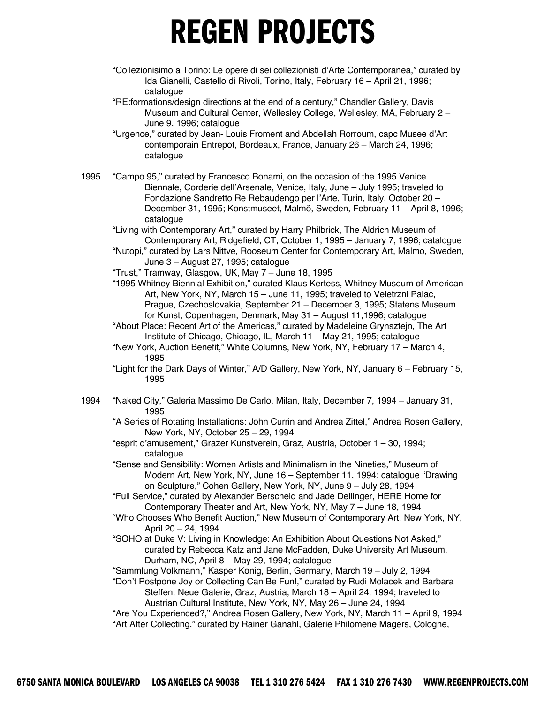"Collezionisimo a Torino: Le opere di sei collezionisti d'Arte Contemporanea," curated by Ida Gianelli, Castello di Rivoli, Torino, Italy, February 16 – April 21, 1996; catalogue

"RE:formations/design directions at the end of a century," Chandler Gallery, Davis Museum and Cultural Center, Wellesley College, Wellesley, MA, February 2 – June 9, 1996; catalogue

"Urgence," curated by Jean- Louis Froment and Abdellah Rorroum, capc Musee d'Art contemporain Entrepot, Bordeaux, France, January 26 – March 24, 1996; catalogue

1995 "Campo 95," curated by Francesco Bonami, on the occasion of the 1995 Venice Biennale, Corderie dell'Arsenale, Venice, Italy, June – July 1995; traveled to Fondazione Sandretto Re Rebaudengo per l'Arte, Turin, Italy, October 20 – December 31, 1995; Konstmuseet, Malmö, Sweden, February 11 – April 8, 1996; catalogue

"Living with Contemporary Art," curated by Harry Philbrick, The Aldrich Museum of Contemporary Art, Ridgefield, CT, October 1, 1995 – January 7, 1996; catalogue

"Nutopi," curated by Lars Nittve, Rooseum Center for Contemporary Art, Malmo, Sweden, June 3 – August 27, 1995; catalogue

- "Trust," Tramway, Glasgow, UK, May 7 June 18, 1995
- "1995 Whitney Biennial Exhibition," curated Klaus Kertess, Whitney Museum of American Art, New York, NY, March 15 – June 11, 1995; traveled to Veletrzni Palac, Prague, Czechoslovakia, September 21 – December 3, 1995; Statens Museum for Kunst, Copenhagen, Denmark, May 31 – August 11,1996; catalogue
- "About Place: Recent Art of the Americas," curated by Madeleine Grynsztejn, The Art Institute of Chicago, Chicago, IL, March 11 – May 21, 1995; catalogue
- "New York, Auction Benefit," White Columns, New York, NY, February 17 March 4, 1995
- "Light for the Dark Days of Winter," A/D Gallery, New York, NY, January 6 February 15, 1995
- 1994 "Naked City," Galeria Massimo De Carlo, Milan, Italy, December 7, 1994 January 31, 1995

"A Series of Rotating Installations: John Currin and Andrea Zittel," Andrea Rosen Gallery, New York, NY, October 25 – 29, 1994

"esprit d'amusement," Grazer Kunstverein, Graz, Austria, October 1 – 30, 1994; catalogue

"Sense and Sensibility: Women Artists and Minimalism in the Nineties," Museum of Modern Art, New York, NY, June 16 – September 11, 1994; catalogue "Drawing on Sculpture," Cohen Gallery, New York, NY, June 9 – July 28, 1994

"Full Service," curated by Alexander Berscheid and Jade Dellinger, HERE Home for Contemporary Theater and Art, New York, NY, May 7 – June 18, 1994

"Who Chooses Who Benefit Auction," New Museum of Contemporary Art, New York, NY, April 20 – 24, 1994

"SOHO at Duke V: Living in Knowledge: An Exhibition About Questions Not Asked," curated by Rebecca Katz and Jane McFadden, Duke University Art Museum, Durham, NC, April 8 – May 29, 1994; catalogue

"Sammlung Volkmann," Kasper Konig, Berlin, Germany, March 19 – July 2, 1994

"Don't Postpone Joy or Collecting Can Be Fun!," curated by Rudi Molacek and Barbara Steffen, Neue Galerie, Graz, Austria, March 18 – April 24, 1994; traveled to Austrian Cultural Institute, New York, NY, May 26 – June 24, 1994

"Are You Experienced?," Andrea Rosen Gallery, New York, NY, March 11 – April 9, 1994 "Art After Collecting," curated by Rainer Ganahl, Galerie Philomene Magers, Cologne,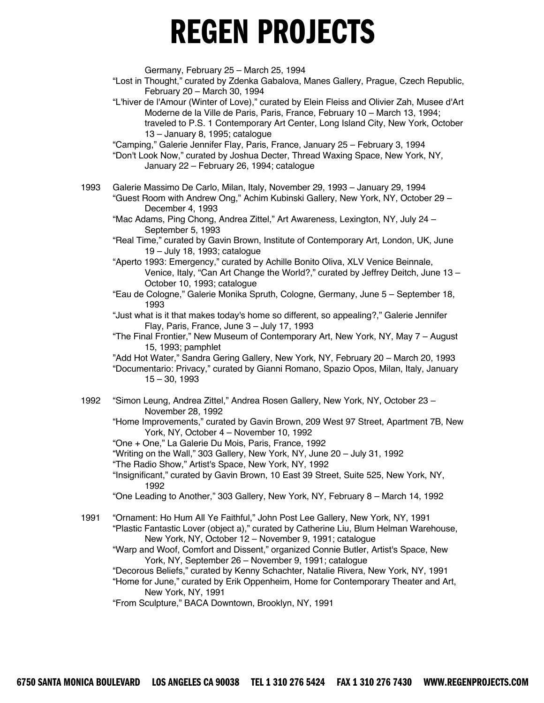Germany, February 25 – March 25, 1994

"Lost in Thought," curated by Zdenka Gabalova, Manes Gallery, Prague, Czech Republic, February 20 – March 30, 1994

"L'hiver de l'Amour (Winter of Love)," curated by Elein Fleiss and Olivier Zah, Musee d'Art Moderne de la Ville de Paris, Paris, France, February 10 – March 13, 1994; traveled to P.S. 1 Contemporary Art Center, Long Island City, New York, October 13 – January 8, 1995; catalogue

"Camping," Galerie Jennifer Flay, Paris, France, January 25 – February 3, 1994

"Don't Look Now," curated by Joshua Decter, Thread Waxing Space, New York, NY, January 22 – February 26, 1994; catalogue

1993 Galerie Massimo De Carlo, Milan, Italy, November 29, 1993 – January 29, 1994 "Guest Room with Andrew Ong," Achim Kubinski Gallery, New York, NY, October 29 – December 4, 1993

"Mac Adams, Ping Chong, Andrea Zittel," Art Awareness, Lexington, NY, July 24 – September 5, 1993

"Real Time," curated by Gavin Brown, Institute of Contemporary Art, London, UK, June 19 – July 18, 1993; catalogue

"Aperto 1993: Emergency," curated by Achille Bonito Oliva, XLV Venice Beinnale, Venice, Italy, "Can Art Change the World?," curated by Jeffrey Deitch, June 13 – October 10, 1993; catalogue

"Eau de Cologne," Galerie Monika Spruth, Cologne, Germany, June 5 – September 18, 1993

"Just what is it that makes today's home so different, so appealing?," Galerie Jennifer Flay, Paris, France, June 3 – July 17, 1993

"The Final Frontier," New Museum of Contemporary Art, New York, NY, May 7 – August 15, 1993; pamphlet

"Add Hot Water," Sandra Gering Gallery, New York, NY, February 20 – March 20, 1993

- "Documentario: Privacy," curated by Gianni Romano, Spazio Opos, Milan, Italy, January 15 – 30, 1993
- 1992 "Simon Leung, Andrea Zittel," Andrea Rosen Gallery, New York, NY, October 23 November 28, 1992

"Home Improvements," curated by Gavin Brown, 209 West 97 Street, Apartment 7B, New York, NY, October 4 – November 10, 1992

"One + One," La Galerie Du Mois, Paris, France, 1992

"Writing on the Wall," 303 Gallery, New York, NY, June 20 – July 31, 1992

"The Radio Show," Artist's Space, New York, NY, 1992

"Insignificant," curated by Gavin Brown, 10 East 39 Street, Suite 525, New York, NY, 1992

"One Leading to Another," 303 Gallery, New York, NY, February 8 – March 14, 1992

1991 "Ornament: Ho Hum All Ye Faithful," John Post Lee Gallery, New York, NY, 1991 "Plastic Fantastic Lover (object a)," curated by Catherine Liu, Blum Helman Warehouse, New York, NY, October 12 – November 9, 1991; catalogue

"Warp and Woof, Comfort and Dissent," organized Connie Butler, Artist's Space, New York, NY, September 26 – November 9, 1991; catalogue

"Decorous Beliefs," curated by Kenny Schachter, Natalie Rivera, New York, NY, 1991 "Home for June," curated by Erik Oppenheim, Home for Contemporary Theater and Art, New York, NY, 1991

"From Sculpture," BACA Downtown, Brooklyn, NY, 1991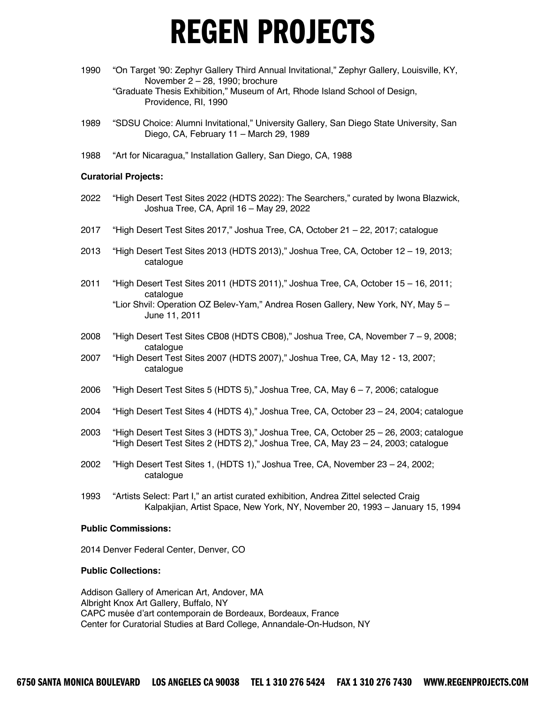- 1990 "On Target '90: Zephyr Gallery Third Annual Invitational," Zephyr Gallery, Louisville, KY, November 2 – 28, 1990; brochure "Graduate Thesis Exhibition," Museum of Art, Rhode Island School of Design, Providence, RI, 1990
- 1989 "SDSU Choice: Alumni Invitational," University Gallery, San Diego State University, San Diego, CA, February 11 – March 29, 1989
- 1988 "Art for Nicaragua," Installation Gallery, San Diego, CA, 1988

#### **Curatorial Projects:**

- 2022 "High Desert Test Sites 2022 (HDTS 2022): The Searchers," curated by Iwona Blazwick, Joshua Tree, CA, April 16 – May 29, 2022
- 2017 "High Desert Test Sites 2017," Joshua Tree, CA, October 21 22, 2017; catalogue
- 2013 "High Desert Test Sites 2013 (HDTS 2013)," Joshua Tree, CA, October 12 19, 2013; catalogue
- 2011 "High Desert Test Sites 2011 (HDTS 2011)," Joshua Tree, CA, October 15 16, 2011; catalogue "Lior Shvil: Operation OZ Belev-Yam," Andrea Rosen Gallery, New York, NY, May 5 – June 11, 2011
- 2008 "High Desert Test Sites CB08 (HDTS CB08)," Joshua Tree, CA, November 7 9, 2008; catalogue
- 2007 "High Desert Test Sites 2007 (HDTS 2007)," Joshua Tree, CA, May 12 13, 2007; catalogue
- 2006 "High Desert Test Sites 5 (HDTS 5)," Joshua Tree, CA, May 6 7, 2006; catalogue
- 2004 "High Desert Test Sites 4 (HDTS 4)," Joshua Tree, CA, October 23 24, 2004; catalogue
- 2003 "High Desert Test Sites 3 (HDTS 3)," Joshua Tree, CA, October 25 26, 2003; catalogue "High Desert Test Sites 2 (HDTS 2)," Joshua Tree, CA, May 23 – 24, 2003; catalogue
- 2002 "High Desert Test Sites 1, (HDTS 1)," Joshua Tree, CA, November 23 24, 2002; catalogue
- 1993 "Artists Select: Part I," an artist curated exhibition, Andrea Zittel selected Craig Kalpakjian, Artist Space, New York, NY, November 20, 1993 – January 15, 1994

#### **Public Commissions:**

2014 Denver Federal Center, Denver, CO

#### **Public Collections:**

Addison Gallery of American Art, Andover, MA Albright Knox Art Gallery, Buffalo, NY CAPC musée d'art contemporain de Bordeaux, Bordeaux, France Center for Curatorial Studies at Bard College, Annandale-On-Hudson, NY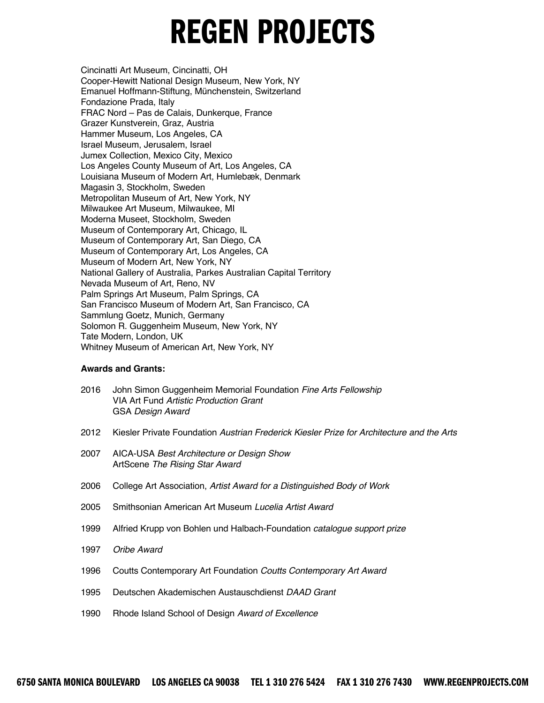Cincinatti Art Museum, Cincinatti, OH Cooper-Hewitt National Design Museum, New York, NY Emanuel Hoffmann-Stiftung, Münchenstein, Switzerland Fondazione Prada, Italy FRAC Nord – Pas de Calais, Dunkerque, France Grazer Kunstverein, Graz, Austria Hammer Museum, Los Angeles, CA Israel Museum, Jerusalem, Israel Jumex Collection, Mexico City, Mexico Los Angeles County Museum of Art, Los Angeles, CA Louisiana Museum of Modern Art, Humlebæk, Denmark Magasin 3, Stockholm, Sweden Metropolitan Museum of Art, New York, NY Milwaukee Art Museum, Milwaukee, MI Moderna Museet, Stockholm, Sweden Museum of Contemporary Art, Chicago, IL Museum of Contemporary Art, San Diego, CA Museum of Contemporary Art, Los Angeles, CA Museum of Modern Art, New York, NY National Gallery of Australia, Parkes Australian Capital Territory Nevada Museum of Art, Reno, NV Palm Springs Art Museum, Palm Springs, CA San Francisco Museum of Modern Art, San Francisco, CA Sammlung Goetz, Munich, Germany Solomon R. Guggenheim Museum, New York, NY Tate Modern, London, UK Whitney Museum of American Art, New York, NY

#### **Awards and Grants:**

- 2016 John Simon Guggenheim Memorial Foundation *Fine Arts Fellowship*  VIA Art Fund *Artistic Production Grant* GSA *Design Award*
- 2012 Kiesler Private Foundation *Austrian Frederick Kiesler Prize for Architecture and the Arts*
- 2007 AICA-USA *Best Architecture or Design Show*  ArtScene *The Rising Star Award*
- 2006 College Art Association, *Artist Award for a Distinguished Body of Work*
- 2005 Smithsonian American Art Museum *Lucelia Artist Award*
- 1999 Alfried Krupp von Bohlen und Halbach-Foundation *catalogue support prize*
- 1997 *Oribe Award*
- 1996 Coutts Contemporary Art Foundation *Coutts Contemporary Art Award*
- 1995 Deutschen Akademischen Austauschdienst *DAAD Grant*
- 1990 Rhode Island School of Design *Award of Excellence*